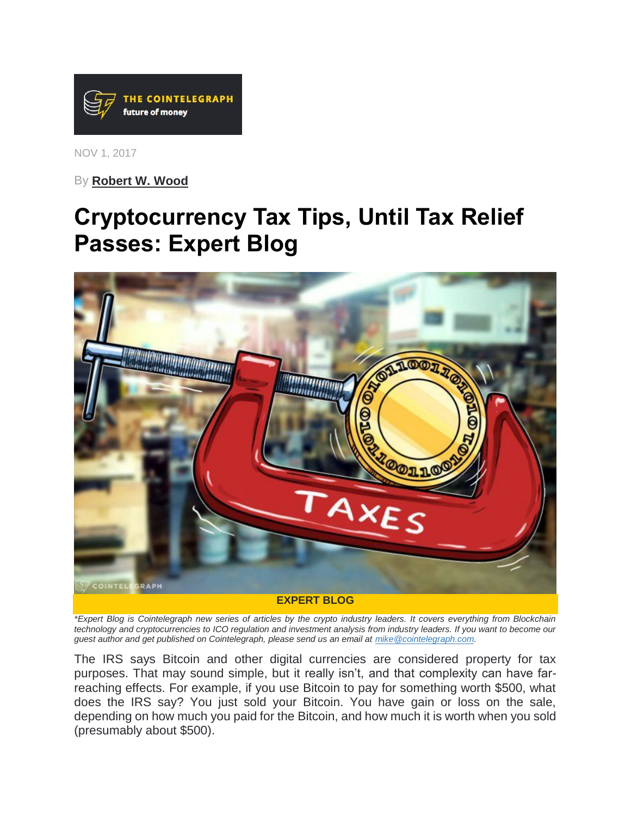

NOV 1, 2017

By **[Robert W. Wood](https://cointelegraph.com/news/irs-hunt-for-cryptocurrency-isnt-going-away-expert-blog)**

# **Cryptocurrency Tax Tips, Until Tax Relief Passes: Expert Blog**



*\*Expert Blog is Cointelegraph new series of articles by the crypto industry leaders. It covers everything from Blockchain technology and cryptocurrencies to ICO regulation and investment analysis from industry leaders. If you want to become our guest author and get published on Cointelegraph, please send us an email at [mike@cointelegraph.com.](mailto:mike@cointelegraph.com)*

The IRS says Bitcoin and other digital currencies are considered property for tax purposes. That may sound simple, but it really isn't, and that complexity can have farreaching effects. For example, if you use Bitcoin to pay for something worth \$500, what does the IRS say? You just sold your Bitcoin. You have gain or loss on the sale, depending on how much you paid for the Bitcoin, and how much it is worth when you sold (presumably about \$500).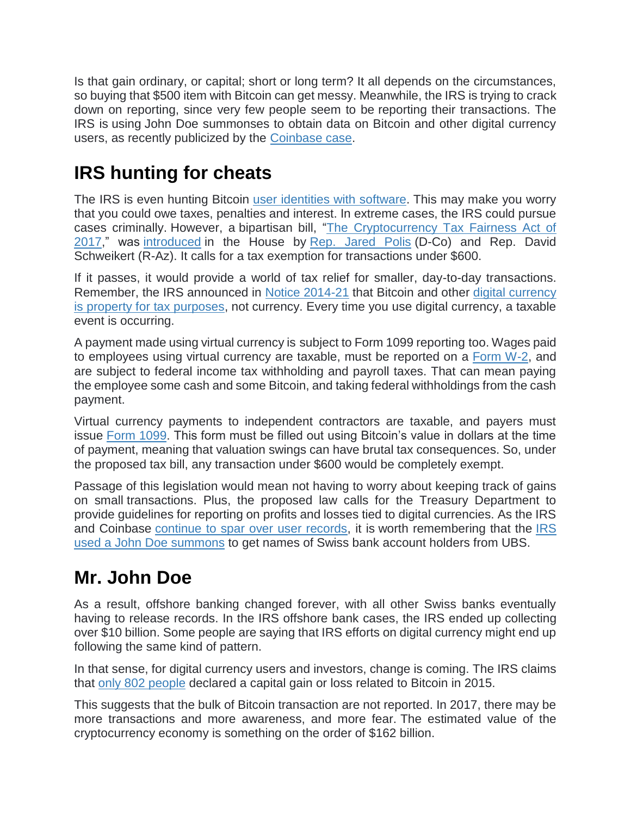Is that gain ordinary, or capital; short or long term? It all depends on the circumstances, so buying that \$500 item with Bitcoin can get messy. Meanwhile, the IRS is trying to crack down on reporting, since very few people seem to be reporting their transactions. The IRS is using John Doe summonses to obtain data on Bitcoin and other digital currency users, as recently publicized by the [Coinbase case.](https://cointelegraph.com/news/judge-hands-bitcoin-user-right-to-challenge-irs-in-coinbase-probe)

### **IRS hunting for cheats**

The IRS is even hunting Bitcoin [user identities with software.](https://cointelegraph.com/news/irs-uses-chainalysis-to-track-down-bitcoin-tax-cheats) This may make you worry that you could owe taxes, penalties and interest. In extreme cases, the IRS could pursue cases criminally. However, a bipartisan bill, ["The Cryptocurrency Tax Fairness Act of](https://www.congress.gov/bill/115th-congress/house-bill/3708/text)  [2017,](https://www.congress.gov/bill/115th-congress/house-bill/3708/text)" was [introduced](https://cointelegraph.com/news/bitcoin-congressman-polis-legislation-abolishes-tax-for-us-crypto-payments-below-600) in the House by [Rep. Jared Polis](https://cointelegraph.com/news/prepare-for-backlash-says-us-senator-jared-polis-to-btc-community) (D-Co) and Rep. David Schweikert (R-Az). It calls for a tax exemption for transactions under \$600.

If it passes, it would provide a world of tax relief for smaller, day-to-day transactions. Remember, the IRS announced in [Notice 2014-21](https://www.irs.gov/pub/irs-drop/n-14-21.pdf) that Bitcoin and other [digital currency](https://cointelegraph.com/news/irs_will_tax_cryptocoins_as_property_not_currency)  [is property for tax purposes,](https://cointelegraph.com/news/irs_will_tax_cryptocoins_as_property_not_currency) not currency. Every time you use digital currency, a taxable event is occurring.

A payment made using virtual currency is subject to Form 1099 reporting too. Wages paid to employees using virtual currency are taxable, must be reported on a [Form W-2,](https://www.irs.gov/forms-pubs/about-form-w2) and are subject to federal income tax withholding and payroll taxes. That can mean paying the employee some cash and some Bitcoin, and taking federal withholdings from the cash payment.

Virtual currency payments to independent contractors are taxable, and payers must issue [Form 1099.](https://www.irs.gov/forms-pubs/about-form-1099misc) This form must be filled out using Bitcoin's value in dollars at the time of payment, meaning that valuation swings can have brutal tax consequences. So, under the proposed tax bill, any transaction under \$600 would be completely exempt.

Passage of this legislation would mean not having to worry about keeping track of gains on small transactions. Plus, the proposed law calls for the Treasury Department to provide guidelines for reporting on profits and losses tied to digital currencies. As the IRS and Coinbase [continue to spar over user records,](https://cointelegraph.com/news/irs-softly-takes-step-back-from-bitcoin-exchange-coinbase-summons) it is worth remembering that the [IRS](https://www.justice.gov/opa/pr/court-authorizes-irs-issue-summonses-discover-us-taxpayers-offshore-bank-accounts-belize-ba-0)  used [a John Doe summons](https://www.justice.gov/opa/pr/court-authorizes-irs-issue-summonses-discover-us-taxpayers-offshore-bank-accounts-belize-ba-0) to get names of Swiss bank account holders from UBS.

#### **Mr. John Doe**

As a result, offshore banking changed forever, with all other Swiss banks eventually having to release records. In the IRS offshore bank cases, the IRS ended up collecting over \$10 billion. Some people are saying that IRS efforts on digital currency might end up following the same kind of pattern.

In that sense, for digital currency users and investors, change is coming. The IRS claims that [only 802 people](https://cointelegraph.com/news/only-802-people-paid-taxes-on-bitcoin-profits-irs-says) declared a capital gain or loss related to Bitcoin in 2015.

This suggests that the bulk of Bitcoin transaction are not reported. In 2017, there may be more transactions and more awareness, and more fear. The estimated value of the cryptocurrency economy is something on the order of \$162 billion.